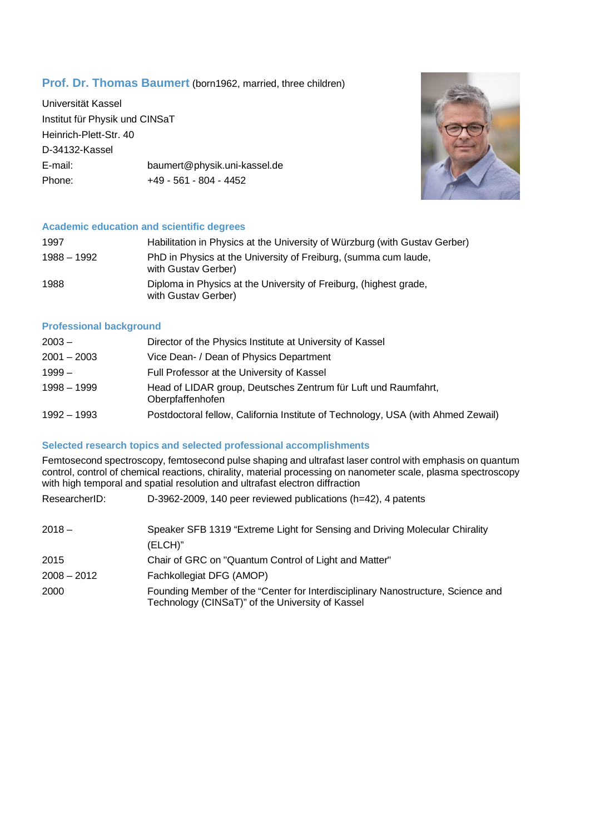# **Prof. Dr. Thomas Baumert** (born1962, married, three children)

Universität Kassel Institut für Physik und CINSaT Heinrich-Plett-Str. 40 D-34132-Kassel E-mail: baumert@physik.uni-kassel.de Phone: +49 - 561 - 804 - 4452



## **Academic education and scientific degrees**

| 1997        | Habilitation in Physics at the University of Würzburg (with Gustav Gerber)               |
|-------------|------------------------------------------------------------------------------------------|
| 1988 - 1992 | PhD in Physics at the University of Freiburg, (summa cum laude,<br>with Gustav Gerber)   |
| 1988        | Diploma in Physics at the University of Freiburg, (highest grade,<br>with Gustav Gerber) |

## **Professional background**

| $2003 -$      | Director of the Physics Institute at University of Kassel                          |
|---------------|------------------------------------------------------------------------------------|
| $2001 - 2003$ | Vice Dean- / Dean of Physics Department                                            |
| $1999-$       | Full Professor at the University of Kassel                                         |
| $1998 - 1999$ | Head of LIDAR group, Deutsches Zentrum für Luft und Raumfahrt,<br>Oberpfaffenhofen |
| 1992 - 1993   | Postdoctoral fellow, California Institute of Technology, USA (with Ahmed Zewail)   |

## **Selected research topics and selected professional accomplishments**

Femtosecond spectroscopy, femtosecond pulse shaping and ultrafast laser control with emphasis on quantum control, control of chemical reactions, chirality, material processing on nanometer scale, plasma spectroscopy with high temporal and spatial resolution and ultrafast electron diffraction

| ResearcherID: | D-3962-2009, 140 peer reviewed publications (h=42), 4 patents                                                                       |
|---------------|-------------------------------------------------------------------------------------------------------------------------------------|
| $2018 -$      | Speaker SFB 1319 "Extreme Light for Sensing and Driving Molecular Chirality<br>(ELCH)"                                              |
| 2015          | Chair of GRC on "Quantum Control of Light and Matter"                                                                               |
| $2008 - 2012$ | Fachkollegiat DFG (AMOP)                                                                                                            |
| 2000          | Founding Member of the "Center for Interdisciplinary Nanostructure, Science and<br>Technology (CINSaT)" of the University of Kassel |